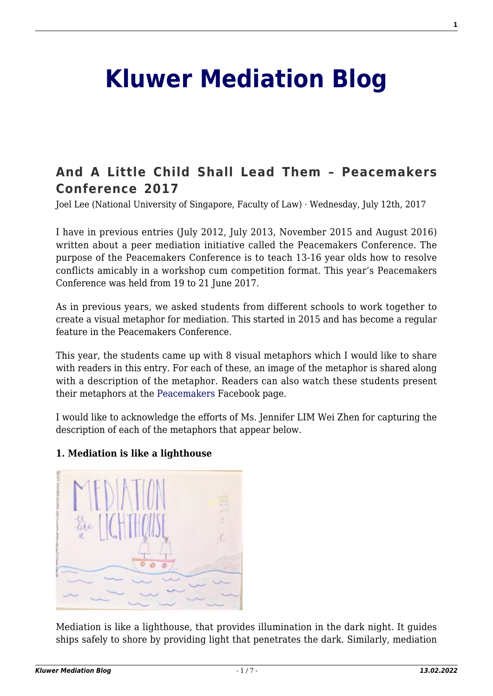# **[Kluwer Mediation Blog](http://mediationblog.kluwerarbitration.com/)**

## **[And A Little Child Shall Lead Them – Peacemakers](http://mediationblog.kluwerarbitration.com/2017/07/12/little-child-shall-lead-peacemakers-conference-2017/) [Conference 2017](http://mediationblog.kluwerarbitration.com/2017/07/12/little-child-shall-lead-peacemakers-conference-2017/)**

Joel Lee (National University of Singapore, Faculty of Law) · Wednesday, July 12th, 2017

I have in previous entries (July 2012, July 2013, November 2015 and August 2016) written about a peer mediation initiative called the Peacemakers Conference. The purpose of the Peacemakers Conference is to teach 13-16 year olds how to resolve conflicts amicably in a workshop cum competition format. This year's Peacemakers Conference was held from 19 to 21 June 2017.

As in previous years, we asked students from different schools to work together to create a visual metaphor for mediation. This started in 2015 and has become a regular feature in the Peacemakers Conference.

This year, the students came up with 8 visual metaphors which I would like to share with readers in this entry. For each of these, an image of the metaphor is shared along with a description of the metaphor. Readers can also watch these students present their metaphors at the [Peacemakers](https://facebook.com/peacemakersconsulting/) Facebook page.

I would like to acknowledge the efforts of Ms. Jennifer LIM Wei Zhen for capturing the description of each of the metaphors that appear below.

#### **1. Mediation is like a lighthouse**



Mediation is like a lighthouse, that provides illumination in the dark night. It guides ships safely to shore by providing light that penetrates the dark. Similarly, mediation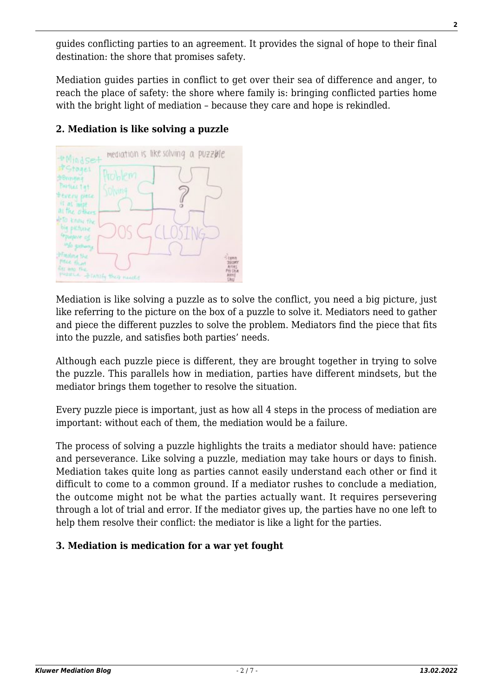guides conflicting parties to an agreement. It provides the signal of hope to their final destination: the shore that promises safety.

Mediation guides parties in conflict to get over their sea of difference and anger, to reach the place of safety: the shore where family is: bringing conflicted parties home with the bright light of mediation – because they care and hope is rekindled.



### **2. Mediation is like solving a puzzle**

Mediation is like solving a puzzle as to solve the conflict, you need a big picture, just like referring to the picture on the box of a puzzle to solve it. Mediators need to gather and piece the different puzzles to solve the problem. Mediators find the piece that fits into the puzzle, and satisfies both parties' needs.

Although each puzzle piece is different, they are brought together in trying to solve the puzzle. This parallels how in mediation, parties have different mindsets, but the mediator brings them together to resolve the situation.

Every puzzle piece is important, just as how all 4 steps in the process of mediation are important: without each of them, the mediation would be a failure.

The process of solving a puzzle highlights the traits a mediator should have: patience and perseverance. Like solving a puzzle, mediation may take hours or days to finish. Mediation takes quite long as parties cannot easily understand each other or find it difficult to come to a common ground. If a mediator rushes to conclude a mediation, the outcome might not be what the parties actually want. It requires persevering through a lot of trial and error. If the mediator gives up, the parties have no one left to help them resolve their conflict: the mediator is like a light for the parties.

#### **3. Mediation is medication for a war yet fought**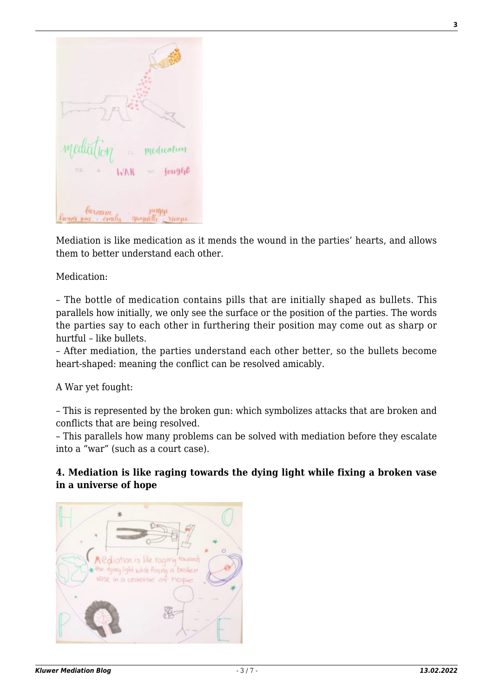| mediation medication<br>Ric<br>$-34$                                 |
|----------------------------------------------------------------------|
| $WAR = f\alpha g\eta b$<br>larrana<br>Parra yuz emily quepally range |

Mediation is like medication as it mends the wound in the parties' hearts, and allows them to better understand each other.

Medication:

– The bottle of medication contains pills that are initially shaped as bullets. This parallels how initially, we only see the surface or the position of the parties. The words the parties say to each other in furthering their position may come out as sharp or hurtful – like bullets.

– After mediation, the parties understand each other better, so the bullets become heart-shaped: meaning the conflict can be resolved amicably.

A War yet fought:

– This is represented by the broken gun: which symbolizes attacks that are broken and conflicts that are being resolved.

– This parallels how many problems can be solved with mediation before they escalate into a "war" (such as a court case).

#### **4. Mediation is like raging towards the dying light while fixing a broken vase in a universe of hope**

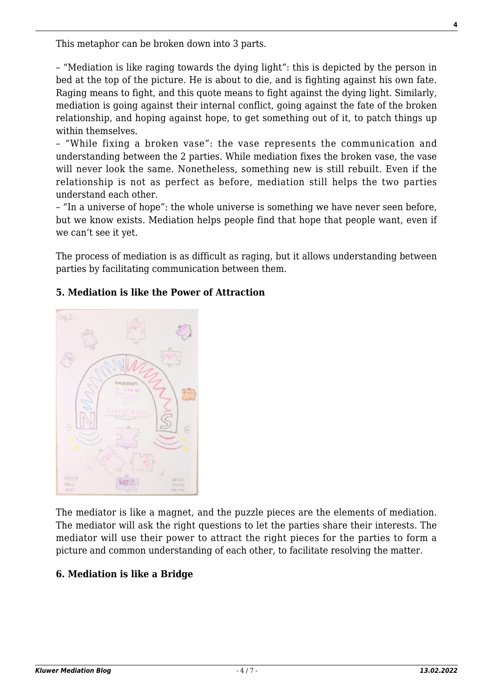This metaphor can be broken down into 3 parts.

– "Mediation is like raging towards the dying light": this is depicted by the person in bed at the top of the picture. He is about to die, and is fighting against his own fate. Raging means to fight, and this quote means to fight against the dying light. Similarly, mediation is going against their internal conflict, going against the fate of the broken relationship, and hoping against hope, to get something out of it, to patch things up within themselves.

– "While fixing a broken vase": the vase represents the communication and understanding between the 2 parties. While mediation fixes the broken vase, the vase will never look the same. Nonetheless, something new is still rebuilt. Even if the relationship is not as perfect as before, mediation still helps the two parties understand each other.

– "In a universe of hope": the whole universe is something we have never seen before, but we know exists. Mediation helps people find that hope that people want, even if we can't see it yet.

The process of mediation is as difficult as raging, but it allows understanding between parties by facilitating communication between them.

#### **5. Mediation is like the Power of Attraction**



The mediator is like a magnet, and the puzzle pieces are the elements of mediation. The mediator will ask the right questions to let the parties share their interests. The mediator will use their power to attract the right pieces for the parties to form a picture and common understanding of each other, to facilitate resolving the matter.

#### **6. Mediation is like a Bridge**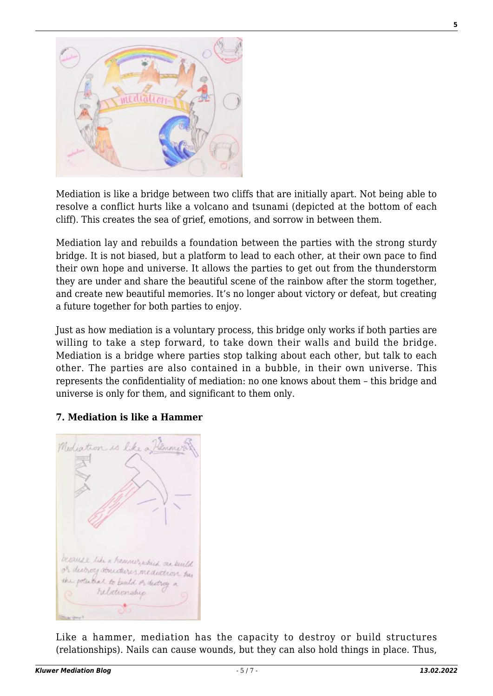

Mediation is like a bridge between two cliffs that are initially apart. Not being able to resolve a conflict hurts like a volcano and tsunami (depicted at the bottom of each cliff). This creates the sea of grief, emotions, and sorrow in between them.

Mediation lay and rebuilds a foundation between the parties with the strong sturdy bridge. It is not biased, but a platform to lead to each other, at their own pace to find their own hope and universe. It allows the parties to get out from the thunderstorm they are under and share the beautiful scene of the rainbow after the storm together, and create new beautiful memories. It's no longer about victory or defeat, but creating a future together for both parties to enjoy.

Just as how mediation is a voluntary process, this bridge only works if both parties are willing to take a step forward, to take down their walls and build the bridge. Mediation is a bridge where parties stop talking about each other, but talk to each other. The parties are also contained in a bubble, in their own universe. This represents the confidentiality of mediation: no one knows about them – this bridge and universe is only for them, and significant to them only.

#### **7. Mediation is like a Hammer**



Like a hammer, mediation has the capacity to destroy or build structures (relationships). Nails can cause wounds, but they can also hold things in place. Thus,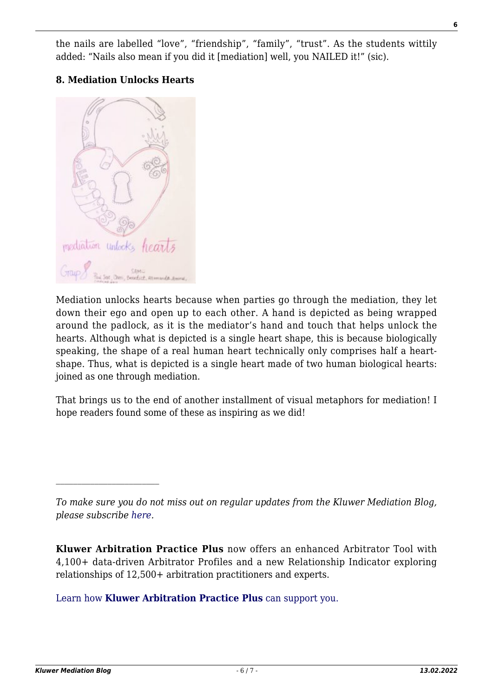the nails are labelled "love", "friendship", "family", "trust". As the students wittily added: "Nails also mean if you did it [mediation] well, you NAILED it!" (sic).

#### **8. Mediation Unlocks Hearts**



Mediation unlocks hearts because when parties go through the mediation, they let down their ego and open up to each other. A hand is depicted as being wrapped around the padlock, as it is the mediator's hand and touch that helps unlock the hearts. Although what is depicted is a single heart shape, this is because biologically speaking, the shape of a real human heart technically only comprises half a heartshape. Thus, what is depicted is a single heart made of two human biological hearts: joined as one through mediation.

That brings us to the end of another installment of visual metaphors for mediation! I hope readers found some of these as inspiring as we did!

**Kluwer Arbitration Practice Plus** now offers an enhanced Arbitrator Tool with 4,100+ data-driven Arbitrator Profiles and a new Relationship Indicator exploring relationships of 12,500+ arbitration practitioners and experts.

[Learn how](https://www.wolterskluwer.com/en/solutions/kluwerarbitration/practiceplus?utm_source=mediationblog&utm_medium=articleCTA&utm_campaign=article-banner) **[Kluwer Arbitration Practice Plus](https://www.wolterskluwer.com/en/solutions/kluwerarbitration/practiceplus?utm_source=mediationblog&utm_medium=articleCTA&utm_campaign=article-banner)** [can support you.](https://www.wolterskluwer.com/en/solutions/kluwerarbitration/practiceplus?utm_source=mediationblog&utm_medium=articleCTA&utm_campaign=article-banner)

*To make sure you do not miss out on regular updates from the Kluwer Mediation Blog, please subscribe [here.](http://mediationblog.kluwerarbitration.com/newsletter/)*